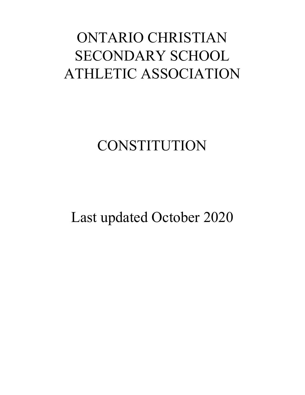# ONTARIO CHRISTIAN SECONDARY SCHOOL ATHLETIC ASSOCIATION

# **CONSTITUTION**

Last updated October 2020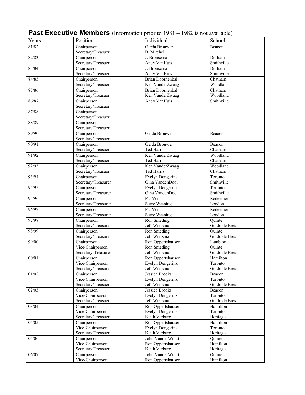| Years | Position                        | Individual                     | School            |
|-------|---------------------------------|--------------------------------|-------------------|
| 81/82 | Chairperson                     | Gerda Brouwer                  | Beacon            |
|       | Secretary/Treasuer              | <b>B.</b> Mitchell             |                   |
| 82/83 | Chairperson                     | J. Bronsema                    | Durham            |
|       | Secretary/Treasuer              | Andy VanHuis                   | Smithville        |
| 83/84 | Chairperson                     | J. Bronsema                    | Durham            |
|       | Secretary/Treasuer              | Andy VanHuis                   | Smithville        |
| 84/85 | Chairperson                     | <b>Brian Doornenbal</b>        | Chatham           |
|       | Secretary/Treasuer              | Ken VanderZwaag                | Woodland          |
| 85/86 | Chairperson                     | <b>Brian Doornenbal</b>        | Chatham           |
|       | Secretary/Treasuer              | Ken VanderZwaag                | Woodland          |
| 86/87 | Chairperson                     | Andy VanHuis                   | Smithville        |
|       | Secretary/Treasuer              |                                |                   |
| 87/88 | Chairperson                     |                                |                   |
|       | Secretary/Treasuer              |                                |                   |
| 88/89 | Chairperson                     |                                |                   |
|       | Secretary/Treasuer              |                                |                   |
| 89/90 | Chairperson                     | Gerda Brouwer                  | Beacon            |
|       | Secretary/Treasuer              |                                |                   |
| 90/91 | Chairperson                     | Gerda Brouwer                  | Beacon            |
|       | Secretary/Treasuer              | Ted Harris                     | Chatham           |
| 91/92 | Chairperson                     | Ken VanderZwaag                | Woodland          |
|       | Secretary/Treasuer              | Ted Harris                     | Chatham           |
| 92/93 | Chairperson                     | Ken VanderZwaag                | Woodland          |
|       | Secretary/Treasuer              | Ted Harris                     | Chatham           |
| 93/94 | Chairperson                     | <b>Evelyn Dengerink</b>        | Toronto           |
|       | Secretary/Treasurer             | Gina VandenDool                | Smithville        |
| 94/95 | Chairperson                     | Evelyn Dengerink               | Toronto           |
|       | Secretary/Treasurer             | Gina VandenDool                | Smithville        |
| 95/96 | Chairperson                     | Pat Vos                        | Redeemer          |
|       | Secretary/Treasurer             | <b>Steve Wassing</b>           | London            |
| 96/97 | Chairperson                     | Pat Vos                        | Redeemer          |
|       | Secretary/Treasurer             | <b>Steve Wassing</b>           | London            |
| 97/98 | Chairperson                     | Ron Smeding                    | Quinte            |
|       | Secretary/Treasurer             | Jeff Wiersma                   | Guido de Bres     |
| 98/99 | Chairperson                     | Ron Smeding                    | Quinte            |
|       | Secretary/Treasurer             | Jeff Wiersma                   | Guido de Bres     |
| 99/00 | Chairperson                     | Ron Oppertshauser              | Lambton           |
|       | Vice-Chairperson                | Ron Smeding                    | Quinte            |
|       | Secretary-Treasurer             | Jeff Wiersma                   | Guido de Bres     |
| 00/01 | Chairperson                     | Ron Oppertshauser              | Hamilton          |
|       | Vice-Chairperson                | Evelyn Dengerink               | Toronto           |
|       | Secretary/Treasurer             | Jeff Wiersma                   | Guido de Bres     |
| 01/02 | Chairperson                     | Jessica Brooks                 | Beacon            |
|       | Vice-Chairperson                | Evelyn Dengerink               | Toronto           |
|       | Secretary/Treasuer              | Jeff Wiersma<br>Jessica Brooks | Guido de Bres     |
| 02/03 | Chairperson<br>Vice-Chairperson | Evelyn Dengerink               | Beacon<br>Toronto |
|       | Secretary/Treasuer              | Jeff Wiersma                   | Guido de Bres     |
| 03/04 | Chairperson                     | Ron Oppertshauser              | Hamilton          |
|       | Vice-Chairperson                | Evelyn Dengerink               | Toronto           |
|       | Secretary/Treasuer              | Keith Verburg                  | Heritage          |
| 04/05 | Chairperson                     | Ron Oppertshauser              | Hamilton          |
|       | Vice-Chairperson                | Evelyn Dengerink               | Toronto           |
|       | Secretary/Treasuer              | Keith Verburg                  | Heritage          |
| 05/06 | Chairperson                     | John VanderWindt               | Quinte            |
|       | Vice-Chairperson                | Ron Oppertshauser              | Hamilton          |
|       | Secretary/Treasuer              | Keith Verburg                  | Heritage          |
| 06/07 | Chairperson                     | John VanderWindt               | Quinte            |
|       | Vice-Chairperson                | Ron Oppertshauser              | Hamilton          |
|       |                                 |                                |                   |

# **Past Executive Members** (Information prior to 1981 – 1982 is not available)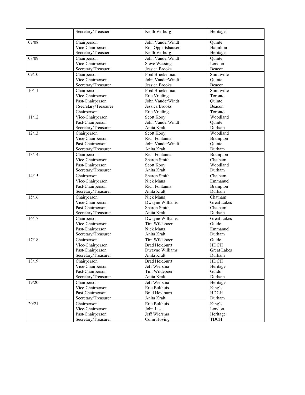|       | Secretary/Treasuer   | Keith Verburg         | Heritage                    |
|-------|----------------------|-----------------------|-----------------------------|
| 07/08 | Chairperson          | John VanderWindt      | Quinte                      |
|       | Vice-Chairperson     | Ron Oppertshauser     | Hamilton                    |
|       | Secretary/Treasuer   | Keith Verburg         | Heritage                    |
| 08/09 | Chairperson          | John VanderWindt      | Quinte                      |
|       | Vice-Chairperson     | <b>Steve Wassing</b>  | London                      |
|       | Secretary/Treasuer   | Jessica Brooks        | Beacon                      |
| 09/10 | Chairperson          | Fred Bruekelman       | Smithville                  |
|       | Vice-Chairperson     | John VanderWindt      | Quinte                      |
|       | Secretary/Treasurer  | Jessica Brooks        | Beacon                      |
| 10/11 | Chairperson          | Fred Bruekelman       | Smithville                  |
|       | Vice-Chairperson     | Eric Vrieling         | Toronto                     |
|       | Past-Chairperson     | John VanderWindt      | Quinte                      |
|       | 1Secretary/Treasurer | Jessica Brooks        | Beacon                      |
|       | Chairperson          | Eric Vrieling         | Toronto                     |
| 11/12 | Vice-Chairperson     | Scott Kooy            | Woodland                    |
|       | Past-Chairperson     | John VanderWindt      | Quinte                      |
|       | Secretary/Treasurer  | Anita Kralt           | Durham                      |
| 12/13 | Chairperson          | Scott Kooy            | Woodland                    |
|       | Vice-Chairperson     | Rich Fontanna         | <b>Brampton</b>             |
|       | Past-Chairperson     | John VanderWindt      | Quinte                      |
|       | Secretary/Treasurer  | Anita Kralt           | Durham                      |
| 13/14 | Chairperson          | Rich Fontanna         | <b>Brampton</b>             |
|       | Vice-Chairperson     | Sharon Smith          | Chatham                     |
|       | Past-Chairperson     | Scott Kooy            | Woodland                    |
|       | Secretary/Treasurer  | Anita Kralt           | Durham                      |
| 14/15 | Chairperson          | Sharon Smith          | $\overline{\text{Chatham}}$ |
|       | Vice-Chairperson     | Nick Mans             | Emmanuel                    |
|       | Past-Chairperson     | Rich Fontanna         | Brampton                    |
|       | Secretary/Treasurer  | Anita Kralt           | Durham                      |
| 15/16 | Chairperson          | Nick Mans             | Chatham                     |
|       | Vice-Chairperson     | Dwayne Williams       | <b>Great Lakes</b>          |
|       | Past-Chairperson     | <b>Sharon Smith</b>   | Chatham                     |
|       | Secretary/Treasurer  | Anita Kralt           | Durham                      |
| 16/17 | Chairperson          | Dwayne Williams       | <b>Great Lakes</b>          |
|       | Vice-Chairperson     | Tim Wildeboer         | Guido                       |
|       | Past-Chairperson     | Nick Mans             | Emmanuel                    |
|       | Secretary/Treasurer  | Anita Kralt           | Durham                      |
| 17/18 | Chairperson          | Tim Wildeboer         | Guido                       |
|       | Vice-Chairperson     | <b>Brad Heidburrt</b> | <b>HDCH</b>                 |
|       | Past-Chairperson     | Dwayne Williams       | <b>Great Lakes</b>          |
|       | Secretary/Treasurer  | Anita Kralt           | Durham                      |
| 18/19 | Chairperson          | <b>Brad Heidburrt</b> | <b>HDCH</b>                 |
|       | Vice-Chairperson     | Jeff Wiersma          | Heritage                    |
|       | Past-Chairperson     | Tim Wildeboer         | Guido                       |
|       | Secretary/Treasurer  | Anita Kralt           | Durham                      |
| 19/20 | Chairperson          | Jeff Wiersma          | Heritage                    |
|       | Vice-Chairperson     | Eric Bulthuis         | King's                      |
|       | Past-Chairperson     | <b>Brad Heidburrt</b> | <b>HDCH</b>                 |
|       | Secretary/Treasurer  | Anita Kralt           | Durham                      |
| 20/21 | Chairperson          | Eric Bulthuis         | King's                      |
|       | Vice-Chairperson     | John Lise             | London                      |
|       | Past-Chairperson     | Jeff Wiersma          | Heritage                    |
|       | Secretary/Treasurer  | Colin Hoving          | <b>TDCH</b>                 |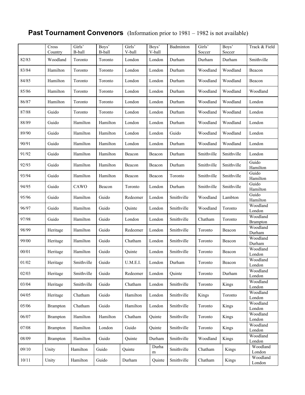# **Past Tournament Convenors** (Information prior to 1981 – 1982 is not available)

|       | Cross<br>Country | Girls'<br>B-ball | Boys'<br>B-ball | Girls'<br>V-ball | Boys'<br>V-ball | Badminton  | Girls'<br>Soccer | Boys'<br>Soccer | Track & Field               |
|-------|------------------|------------------|-----------------|------------------|-----------------|------------|------------------|-----------------|-----------------------------|
| 82/83 | Woodland         | Toronto          | Toronto         | London           | London          | Durham     | Durham           | Durham          | Smithville                  |
| 83/84 | Hamilton         | Toronto          | Toronto         | London           | London          | Durham     | Woodland         | Woodland        | Beacon                      |
| 84/85 | Hamilton         | Toronto          | Toronto         | London           | London          | Durham     | Woodland         | Woodland        | Beacon                      |
| 85/86 | Hamilton         | Toronto          | Toronto         | London           | London          | Durham     | Woodland         | Woodland        | Woodland                    |
| 86/87 | Hamilton         | Toronto          | Toronto         | London           | London          | Durham     | Woodland         | Woodland        | London                      |
| 87/88 | Guido            | Toronto          | Toronto         | London           | London          | Durham     | Woodland         | Woodland        | London                      |
| 88/89 | Guido            | Hamilton         | Hamilton        | London           | London          | Durham     | Woodland         | Woodland        | London                      |
| 89/90 | Guido            | Hamilton         | Hamilton        | London           | London          | Guido      | Woodland         | Woodland        | London                      |
| 90/91 | Guido            | Hamilton         | Hamilton        | London           | London          | Durham     | Woodland         | Woodland        | London                      |
| 91/92 | Guido            | Hamilton         | Hamilton        | Beacon           | Beacon          | Durham     | Smithville       | Smithville      | London                      |
| 92/93 | Guido            | Hamilton         | Hamilton        | Beacon           | Beacon          | Durham     | Smithville       | Smithville      | Guido<br>Hamilton           |
| 93/94 | Guido            | Hamilton         | Hamilton        | Beacon           | Beacon          | Toronto    | Smithville       | Smithville      | Guido<br>Hamilton           |
| 94/95 | Guido            | CAWO             | Beacon          | Toronto          | London          | Durham     | Smithville       | Smithville      | Guido<br>Hamilton           |
| 95/96 | Guido            | Hamilton         | Guido           | Redeemer         | London          | Smithville | Woodland         | Lambton         | Guido<br>Hamilton           |
| 96/97 | Guido            | Hamilton         | Guido           | Quinte           | London          | Smithville | Woodland         | Toronto         | Woodland<br>London          |
| 97/98 | Guido            | Hamilton         | Guido           | London           | London          | Smithville | Chatham          | Toronto         | Woodland<br><b>Brampton</b> |
| 98/99 | Heritage         | Hamilton         | Guido           | Redeemer         | London          | Smithville | Toronto          | Beacon          | Woodland<br>Durham          |
| 99/00 | Heritage         | Hamilton         | Guido           | Chatham          | London          | Smithville | Toronto          | Beacon          | Woodland<br>Durham          |
| 00/01 | Heritage         | Hamilton         | Guido           | Quinte           | London          | Smithville | Toronto          | Beacon          | Woodland<br>London          |
| 01/02 | Heritage         | Smithville       | Guido           | U.M.E.I.         | London          | Durham     | Toronto          | Beacon          | Woodland<br>London          |
| 02/03 | Heritage         | Smithville       | Guido           | Redeemer         | London          | Quinte     | Toronto          | Durham          | Woodland<br>London          |
| 03/04 | Heritage         | Smithville       | Guido           | Chatham          | London          | Smithville | Toronto          | Kings           | Woodland<br>London          |
| 04/05 | Heritage         | Chatham          | Guido           | Hamilton         | London          | Smithville | Kings            | Toronto         | Woodland<br>London          |
| 05/06 | <b>Brampton</b>  | Chatham          | Guido           | Hamilton         | London          | Smithville | Toronto          | Kings           | Woodland<br>London          |
| 06/07 | <b>Brampton</b>  | Hamilton         | Hamilton        | Chatham          | Quinte          | Smithville | Toronto          | Kings           | Woodland<br>London          |
| 07/08 | <b>Brampton</b>  | Hamilton         | London          | Guido            | Quinte          | Smithville | Toronto          | Kings           | Woodland<br>London          |
| 08/09 | <b>Brampton</b>  | Hamilton         | Guido           | Quinte           | Durham          | Smithville | Woodland         | Kings           | Woodland<br>London          |
| 09/10 | Unity            | Hamilton         | Guido           | Quinte           | Durha<br>m      | Smithville | Chatham          | Kings           | Woodland<br>London          |
| 10/11 | Unity            | Hamilton         | Guido           | Durham           | Quinte          | Smithville | Chatham          | Kings           | Woodland<br>London          |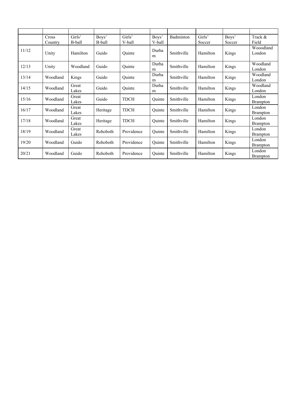|       | Cross    | Girls'         | Boys'    | Girls'      | Boys'      | Badminton  | Girls'   | Boys'  | Track &                   |
|-------|----------|----------------|----------|-------------|------------|------------|----------|--------|---------------------------|
|       | Country  | B-ball         | B-ball   | V-ball      | V-ball     |            | Soccer   | Soccer | Field                     |
| 11/12 | Unity    | Hamilton       | Guido    | Ouinte      | Durha<br>m | Smithville | Hamilton | Kings  | Wooodland<br>London       |
| 12/13 | Unity    | Woodland       | Guido    | Quinte      | Durha<br>m | Smithville | Hamilton | Kings  | Woodland<br>London        |
| 13/14 | Woodland | Kings          | Guido    | Ouinte      | Durha<br>m | Smithville | Hamilton | Kings  | Woodland<br>London        |
| 14/15 | Woodland | Great<br>Lakes | Guido    | Ouinte      | Durha<br>m | Smithville | Hamilton | Kings  | Woodland<br>London        |
| 15/16 | Woodland | Great<br>Lakes | Guido    | <b>TDCH</b> | Ouinte     | Smithville | Hamilton | Kings  | London<br><b>Brampton</b> |
| 16/17 | Woodland | Great<br>Lakes | Heritage | <b>TDCH</b> | Ouinte     | Smithville | Hamilton | Kings  | London<br><b>Brampton</b> |
| 17/18 | Woodland | Great<br>Lakes | Heritage | <b>TDCH</b> | Quinte     | Smithville | Hamilton | Kings  | London<br><b>Brampton</b> |
| 18/19 | Woodland | Great<br>Lakes | Rehoboth | Providence  | Quinte     | Smithville | Hamilton | Kings  | London<br><b>Brampton</b> |
| 19/20 | Woodland | Guido          | Rehoboth | Providence  | Ouinte     | Smithville | Hamilton | Kings  | London<br><b>Brampton</b> |
| 20/21 | Woodland | Guido          | Rehoboth | Providence  | Ouinte     | Smithville | Hamilton | Kings  | London<br><b>Brampton</b> |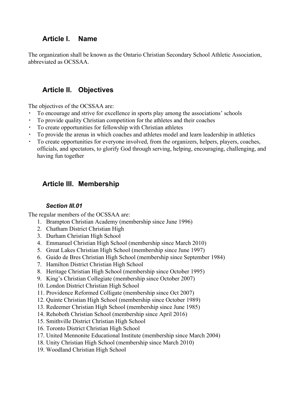# **Article I. Name**

The organization shall be known as the Ontario Christian Secondary School Athletic Association, abbreviated as OCSSAA.

# **Article II. Objectives**

The objectives of the OCSSAA are:

- To encourage and strive for excellence in sports play among the associations' schools
- To provide quality Christian competition for the athletes and their coaches
- To create opportunities for fellowship with Christian athletes
- To provide the arenas in which coaches and athletes model and learn leadership in athletics
- To create opportunities for everyone involved, from the organizers, helpers, players, coaches, officials, and spectators, to glorify God through serving, helping, encouraging, challenging, and having fun together

# **Article III. Membership**

## *Section III.01*

The regular members of the OCSSAA are:

- 1. Brampton Christian Academy (membership since June 1996)
- 2. Chatham District Christian High
- 3. Durham Christian High School
- 4. Emmanuel Christian High School (membership since March 2010)
- 5. Great Lakes Christian High School (membership since June 1997)
- 6. Guido de Bres Christian High School (membership since September 1984)
- 7. Hamilton District Christian High School
- 8. Heritage Christian High School (membership since October 1995)
- 9. King's Christian Collegiate (membership since October 2007)
- 10. London District Christian High School
- 11. Providence Reformed Colligate (membership since Oct 2007)
- 12. Quinte Christian High School (membership since October 1989)
- 13. Redeemer Christian High School (membership since June 1985)
- 14. Rehoboth Christian School (membership since April 2016)
- 15. Smithville District Christian High School
- 16. Toronto District Christian High School
- 17. United Mennonite Educational Institute (membership since March 2004)
- 18. Unity Christian High School (membership since March 2010)
- 19. Woodland Christian High School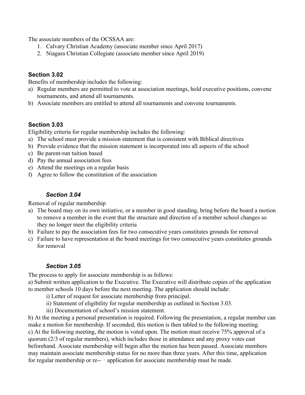The associate members of the OCSSAA are:

- 1. Calvary Christian Academy (associate member since April 2017)
- 2. Niagara Christian Collegiate (associate member since April 2019)

## **Section 3.02**

Benefits of membership includes the following:

- a) Regular members are permitted to vote at association meetings, hold executive positions, convene tournaments, and attend all tournaments.
- b) Associate members are entitled to attend all tournaments and convene tournaments.

## **Section 3.03**

Eligibility criteria for regular membership includes the following:

- a) The school must provide a mission statement that is consistent with Biblical directives
- b) Provide evidence that the mission statement is incorporated into all aspects of the school
- c) Be parent-run tuition based
- d) Pay the annual association fees
- e) Attend the meetings on a regular basis
- f) Agree to follow the constitution of the association

## *Section 3.04*

Removal of regular membership

- a) The board may on its own initiative, or a member in good standing, bring before the board a motion to remove a member in the event that the structure and direction of a member school changes so they no longer meet the eligibility criteria
- b) Failure to pay the association fees for two consecutive years constitutes grounds for removal
- c) Failure to have representation at the board meetings for two consecutive years constitutes grounds for removal

## *Section 3.05*

The process to apply for associate membership is as follows:

a) Submit written application to the Executive. The Executive will distribute copies of the application to member schools 10 days before the next meeting. The application should include:

- i) Letter of request for associate membership from principal.
- ii) Statement of eligibility for regular membership as outlined in Section 3.03.
- iii) Documentation of school's mission statement.

b) At the meeting a personal presentation is required. Following the presentation, a regular member can make a motion for membership. If seconded, this motion is then tabled to the following meeting. c) At the following meeting, the motion is voted upon. The motion must receive 75% approval of a quorum (2/3 of regular members), which includes those in attendance and any proxy votes cast beforehand. Associate membership will begin after the motion has been passed. Associate members may maintain associate membership status for no more than three years. After this time, application for regular membership or re-- - application for associate membership must be made.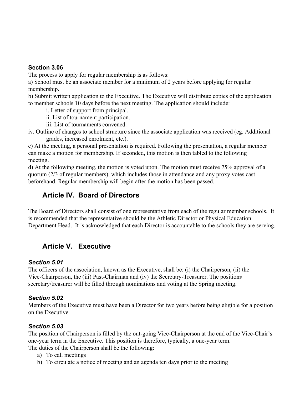#### **Section 3.06**

The process to apply for regular membership is as follows:

a) School must be an associate member for a minimum of 2 years before applying for regular membership.

b) Submit written application to the Executive. The Executive will distribute copies of the application to member schools 10 days before the next meeting. The application should include:

i. Letter of support from principal.

ii. List of tournament participation.

iii. List of tournaments convened.

iv. Outline of changes to school structure since the associate application was received (eg. Additional grades, increased enrolment, etc.).

c) At the meeting, a personal presentation is required. Following the presentation, a regular member can make a motion for membership. If seconded, this motion is then tabled to the following meeting.

d) At the following meeting, the motion is voted upon. The motion must receive 75% approval of a quorum (2/3 of regular members), which includes those in attendance and any proxy votes cast beforehand. Regular membership will begin after the motion has been passed.

# **Article IV. Board of Directors**

The Board of Directors shall consist of one representative from each of the regular member schools. It is recommended that the representative should be the Athletic Director or Physical Education Department Head. It is acknowledged that each Director is accountable to the schools they are serving.

# **Article V. Executive**

## *Section 5.01*

The officers of the association, known as the Executive, shall be: (i) the Chairperson, (ii) the Vice-Chairperson, the (iii) Past-Chairman and (iv) the Secretary-Treasurer. The positions secretary/treasurer will be filled through nominations and voting at the Spring meeting.

#### *Section 5.02*

Members of the Executive must have been a Director for two years before being eligible for a position on the Executive.

## *Section 5.03*

The position of Chairperson is filled by the out-going Vice-Chairperson at the end of the Vice-Chair's one-year term in the Executive. This position is therefore, typically, a one-year term. The duties of the Chairperson shall be the following:

- a) To call meetings
- b) To circulate a notice of meeting and an agenda ten days prior to the meeting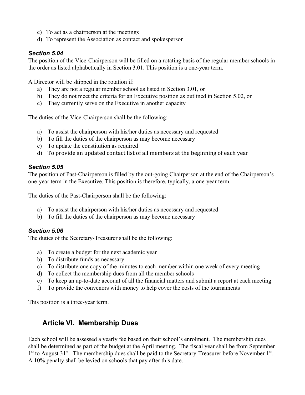- c) To act as a chairperson at the meetings
- d) To represent the Association as contact and spokesperson

## *Section 5.04*

The position of the Vice-Chairperson will be filled on a rotating basis of the regular member schools in the order as listed alphabetically in Section 3.01. This position is a one-year term.

A Director will be skipped in the rotation if:

- a) They are not a regular member school as listed in Section 3.01, or
- b) They do not meet the criteria for an Executive position as outlined in Section 5.02, or
- c) They currently serve on the Executive in another capacity

The duties of the Vice-Chairperson shall be the following:

- a) To assist the chairperson with his/her duties as necessary and requested
- b) To fill the duties of the chairperson as may become necessary
- c) To update the constitution as required
- d) To provide an updated contact list of all members at the beginning of each year

## *Section 5.05*

The position of Past-Chairperson is filled by the out-going Chairperson at the end of the Chairperson's one-year term in the Executive. This position is therefore, typically, a one-year term.

The duties of the Past-Chairperson shall be the following:

- a) To assist the chairperson with his/her duties as necessary and requested
- b) To fill the duties of the chairperson as may become necessary

## *Section 5.06*

The duties of the Secretary-Treasurer shall be the following:

- a) To create a budget for the next academic year
- b) To distribute funds as necessary
- c) To distribute one copy of the minutes to each member within one week of every meeting
- d) To collect the membership dues from all the member schools
- e) To keep an up-to-date account of all the financial matters and submit a report at each meeting
- f) To provide the convenors with money to help cover the costs of the tournaments

This position is a three-year term.

# **Article VI. Membership Dues**

Each school will be assessed a yearly fee based on their school's enrolment. The membership dues shall be determined as part of the budget at the April meeting. The fiscal year shall be from September 1<sup>st</sup> to August 31<sup>st</sup>. The membership dues shall be paid to the Secretary-Treasurer before November 1<sup>st</sup>. A 10% penalty shall be levied on schools that pay after this date.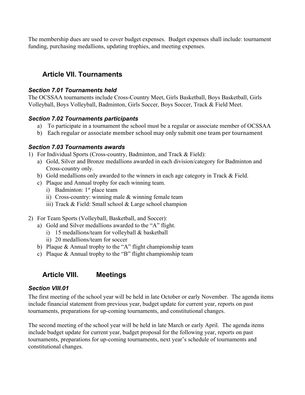The membership dues are used to cover budget expenses. Budget expenses shall include: tournament funding, purchasing medallions, updating trophies, and meeting expenses.

# **Article VII. Tournaments**

#### *Section 7.01 Tournaments held*

The OCSSAA tournaments include Cross-Country Meet, Girls Basketball, Boys Basketball, Girls Volleyball, Boys Volleyball, Badminton, Girls Soccer, Boys Soccer, Track & Field Meet.

## *Section 7.02 Tournaments participants*

- a) To participate in a tournament the school must be a regular or associate member of OCSSAA
- b) Each regular or associate member school may only submit one team per tournament

#### *Section 7.03 Tournaments awards*

1) For Individual Sports (Cross-country, Badminton, and Track & Field):

- a) Gold, Silver and Bronze medallions awarded in each division/category for Badminton and Cross-country only.
- b) Gold medallions only awarded to the winners in each age category in Track & Field.
- c) Plaque and Annual trophy for each winning team.
	- i) Badminton:  $1<sup>st</sup>$  place team
	- ii) Cross-country: winning male & winning female team
	- iii) Track & Field: Small school & Large school champion
- 2) For Team Sports (Volleyball, Basketball, and Soccer):
	- a) Gold and Silver medallions awarded to the "A" flight.
		- i) 15 medallions/team for volleyball & basketball
		- ii) 20 medallions/team for soccer
	- b) Plaque & Annual trophy to the "A" flight championship team
	- c) Plaque & Annual trophy to the "B" flight championship team

# **Article VIII. Meetings**

#### *Section VIII.01*

The first meeting of the school year will be held in late October or early November. The agenda items include financial statement from previous year, budget update for current year, reports on past tournaments, preparations for up-coming tournaments, and constitutional changes.

The second meeting of the school year will be held in late March or early April. The agenda items include budget update for current year, budget proposal for the following year, reports on past tournaments, preparations for up-coming tournaments, next year's schedule of tournaments and constitutional changes.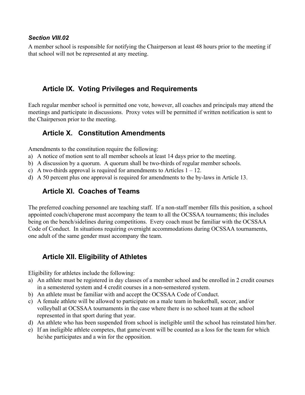#### *Section VIII.02*

A member school is responsible for notifying the Chairperson at least 48 hours prior to the meeting if that school will not be represented at any meeting.

# **Article IX. Voting Privileges and Requirements**

Each regular member school is permitted one vote, however, all coaches and principals may attend the meetings and participate in discussions. Proxy votes will be permitted if written notification is sent to the Chairperson prior to the meeting.

# **Article X. Constitution Amendments**

Amendments to the constitution require the following:

- a) A notice of motion sent to all member schools at least 14 days prior to the meeting.
- b) A discussion by a quorum. A quorum shall be two-thirds of regular member schools.
- c) A two-thirds approval is required for amendments to Articles  $1 12$ .
- d) A 50 percent plus one approval is required for amendments to the by-laws in Article 13.

# **Article XI. Coaches of Teams**

The preferred coaching personnel are teaching staff. If a non-staff member fills this position, a school appointed coach/chaperone must accompany the team to all the OCSSAA tournaments; this includes being on the bench/sidelines during competitions. Every coach must be familiar with the OCSSAA Code of Conduct. In situations requiring overnight accommodations during OCSSAA tournaments, one adult of the same gender must accompany the team.

# **Article XII. Eligibility of Athletes**

Eligibility for athletes include the following:

- a) An athlete must be registered in day classes of a member school and be enrolled in 2 credit courses in a semestered system and 4 credit courses in a non-semestered system.
- b) An athlete must be familiar with and accept the OCSSAA Code of Conduct.
- c) A female athlete will be allowed to participate on a male team in basketball, soccer, and/or volleyball at OCSSAA tournaments in the case where there is no school team at the school represented in that sport during that year.
- d) An athlete who has been suspended from school is ineligible until the school has reinstated him/her.
- e) If an ineligible athlete competes, that game/event will be counted as a loss for the team for which he/she participates and a win for the opposition.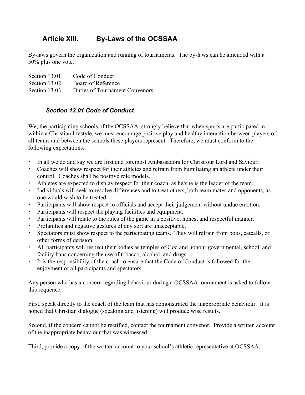# **Article XIII. By-Laws of the OCSSAA**

By-laws govern the organization and running of tournaments. The by-laws can be amended with a 50% plus one vote.

| Section 13.01 | Code of Conduct                |
|---------------|--------------------------------|
| Section 13.02 | Board of Reference             |
| Section 13.03 | Duties of Tournament Convenors |

## *Section 13.01 Code of Conduct*

We, the participating schools of the OCSSAA, strongly believe that when sports are participated in within a Christian lifestyle, we must encourage positive play and healthy interaction between players of all teams and between the schools these players represent. Therefore, we must conform to the following expectations:

- In all we do and say we are first and foremost Ambassadors for Christ our Lord and Saviour.
- Coaches will show respect for their athletes and refrain from humiliating an athlete under their control. Coaches shall be positive role models.
- Athletes are expected to display respect for their coach, as he/she is the leader of the team.
- Individuals will seek to resolve differences and to treat others, both team mates and opponents, as one would wish to be treated.
- Participants will show respect to officials and accept their judgement without undue emotion.
- Participants will respect the playing facilities and equipment.
- Participants will relate to the rules of the game in a positive, honest and respectful manner.
- Profanities and negative gestures of any sort are unacceptable.
- Spectators must show respect to the participating teams. They will refrain from boos, catcalls, or other forms of derision.
- All participants will respect their bodies as temples of God and honour governmental, school, and facility bans concerning the use of tobacco, alcohol, and drugs.
- It is the responsibility of the coach to ensure that the Code of Conduct is followed for the enjoyment of all participants and spectators.

Any person who has a concern regarding behaviour during a OCSSAA tournament is asked to follow this sequence.

First, speak directly to the coach of the team that has demonstrated the inappropriate behaviour. It is hoped that Christian dialogue (speaking and listening) will produce wise results.

Second, if the concern cannot be rectified, contact the tournament convenor. Provide a written account of the inappropriate behaviour that was witnessed.

Third, provide a copy of the written account to your school's athletic representative at OCSSAA.